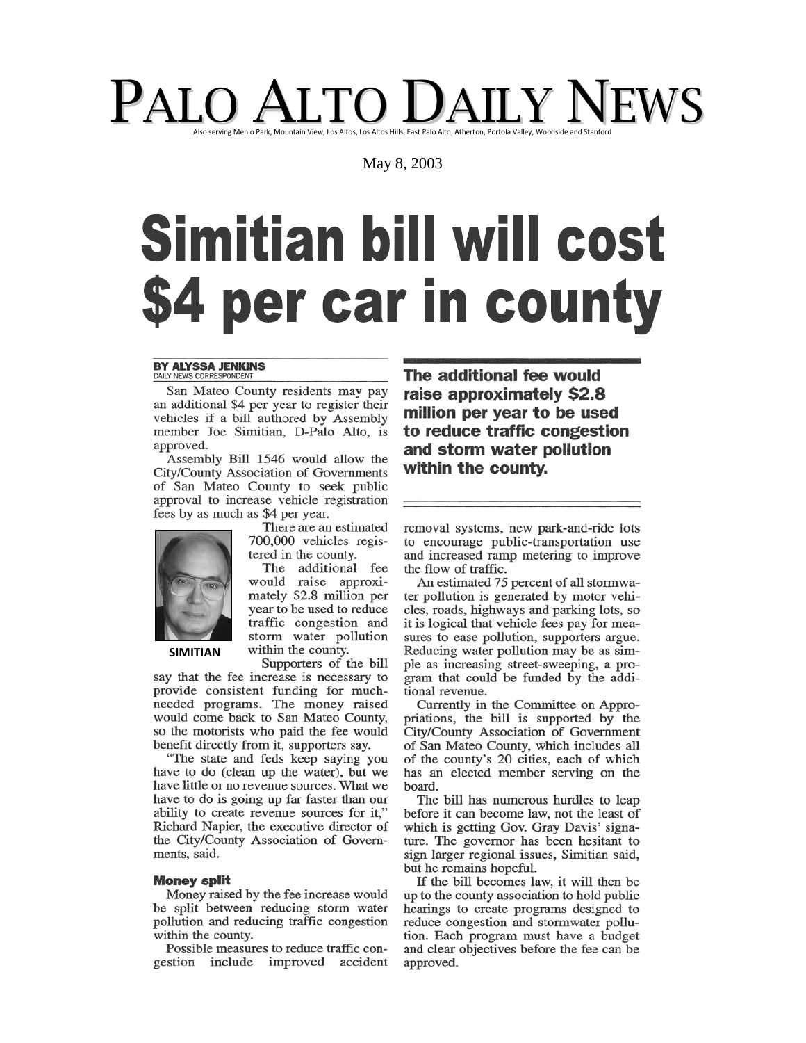# PALO ALTO DAILY NEWS

May 8, 2003

# **Simitian bill will cost** \$4 per car in county

#### **BY ALYSSA JENKINS** DAILY NEWS CORRESPONDED

San Mateo County residents may pay an additional \$4 per year to register their vehicles if a bill authored by Assembly member Joe Simitian, D-Palo Alto, is approved.

Assembly Bill 1546 would allow the City/County Association of Governments of San Mateo County to seek public approval to increase vehicle registration fees by as much as \$4 per year.



**SIMITIAN** 

700,000 vehicles registered in the county. The additional fee

There are an estimated

would raise approximately \$2.8 million per year to be used to reduce traffic congestion and storm water pollution within the county.

Supporters of the bill say that the fee increase is necessary to provide consistent funding for muchneeded programs. The money raised would come back to San Mateo County, so the motorists who paid the fee would benefit directly from it, supporters say.

"The state and feds keep saying you have to do (clean up the water), but we have little or no revenue sources. What we have to do is going up far faster than our ability to create revenue sources for it," Richard Napier, the executive director of the City/County Association of Governments, said.

### **Money split**

Money raised by the fee increase would be split between reducing storm water pollution and reducing traffic congestion within the county.

Possible measures to reduce traffic congestion include improved accident The additional fee would raise approximately \$2.8 million per year to be used to reduce traffic congestion and storm water pollution within the county.

removal systems, new park-and-ride lots to encourage public-transportation use and increased ramp metering to improve the flow of traffic.

An estimated 75 percent of all stormwater pollution is generated by motor vehicles, roads, highways and parking lots, so it is logical that vehicle fees pay for measures to ease pollution, supporters argue. Reducing water pollution may be as simple as increasing street-sweeping, a program that could be funded by the additional revenue.

Currently in the Committee on Appropriations, the bill is supported by the City/County Association of Government of San Mateo County, which includes all of the county's 20 cities, each of which has an elected member serving on the board.

The bill has numerous hurdles to leap before it can become law, not the least of which is getting Gov. Gray Davis' signature. The governor has been hesitant to sign larger regional issues, Simitian said, but he remains hopeful.

If the bill becomes law, it will then be up to the county association to hold public hearings to create programs designed to reduce congestion and stormwater pollution. Each program must have a budget and clear objectives before the fee can be approved.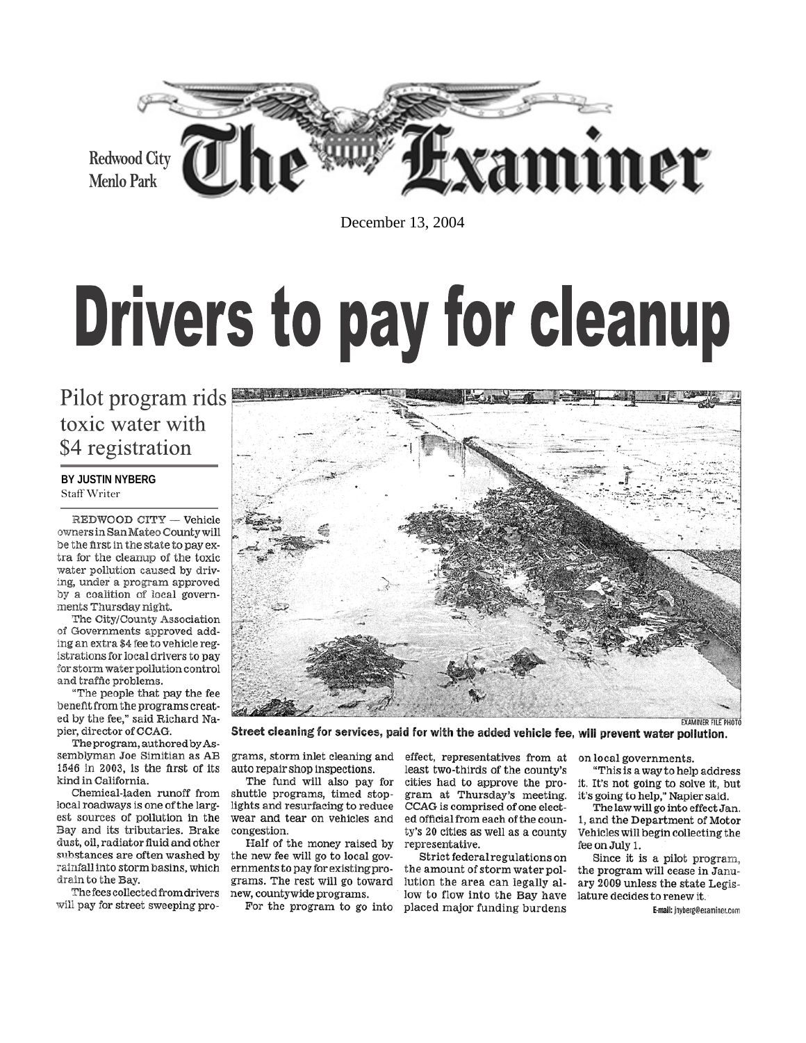

December 13, 2004

# **Drivers to pay for cleanup**

### Pilot program rids toxic water with \$4 registration

### BY JUSTIN NYBERG Staff Writer

REDWOOD CITY -- Vehicle owners in San Mateo County will be the first in the state to pay extra for the cleanup of the toxic water pollution caused by driving, under a program approved by a coalition of local governments Thursday night.

The City/County Association of Governments approved adding an extra \$4 fee to vehicle registrations for local drivers to pay for storm water pollution control and traffic problems.

"The people that pay the fee benefit from the programs created by the fee," said Richard Napier, director of CCAG.

The program, authored by Assemblyman Joe Simitian as AB 1546 in 2003, is the first of its kind in California

Chemical-laden runoff from local roadways is one of the largest sources of pollution in the Bay and its tributaries. Brake dust, oil, radiator fluid and other substances are often washed by rainfall into storm basins, which drain to the Bay.

The fees collected from drivers will pay for street sweeping programs, storm inlet cleaning and auto repair shop inspections.

The fund will also pay for shuttle programs, timed stoplights and resurfacing to reduce wear and tear on vehicles and congestion.

Half of the money raised by the new fee will go to local governments to pay for existing programs. The rest will go toward new, countywide programs.

For the program to go into

effect, representatives from at least two-thirds of the county's cities had to approve the program at Thursday's meeting. CCAG is comprised of one elected official from each of the county's 20 cities as well as a county representative.

Strict federal regulations on the amount of storm water pollution the area can legally allow to flow into the Bay have placed major funding burdens

on local governments.

"This is a way to help address it. It's not going to solve it, but it's going to help," Napier said.

The law will go into effect Jan. 1, and the Department of Motor Vehicles will begin collecting the fee on July 1.

Since it is a pilot program, the program will cease in January 2009 unless the state Legislature decides to renew it.

E-mail: jnyberg@examiner.com